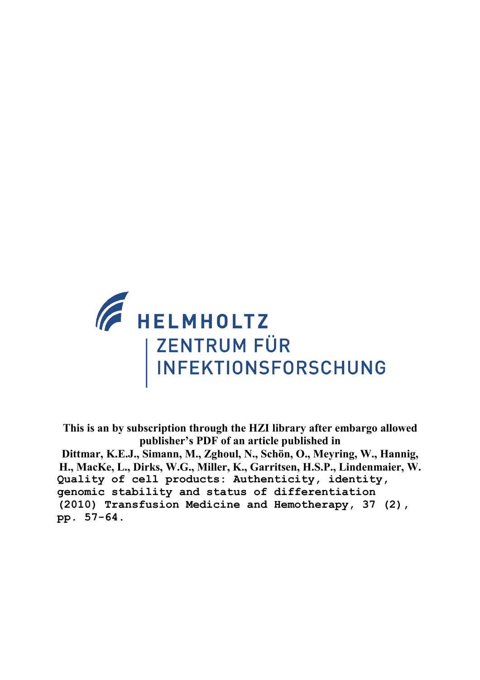

**This is an by subscription through the HZI library after embargo allowed publisher's PDF of an article published in Dittmar, K.E.J., Simann, M., Zghoul, N., Schön, O., Meyring, W., Hannig, H., MacKe, L., Dirks, W.G., Miller, K., Garritsen, H.S.P., Lindenmaier, W. Quality of cell products: Authenticity, identity, genomic stability and status of differentiation (2010) Transfusion Medicine and Hemotherapy, 37 (2), pp. 57-64.**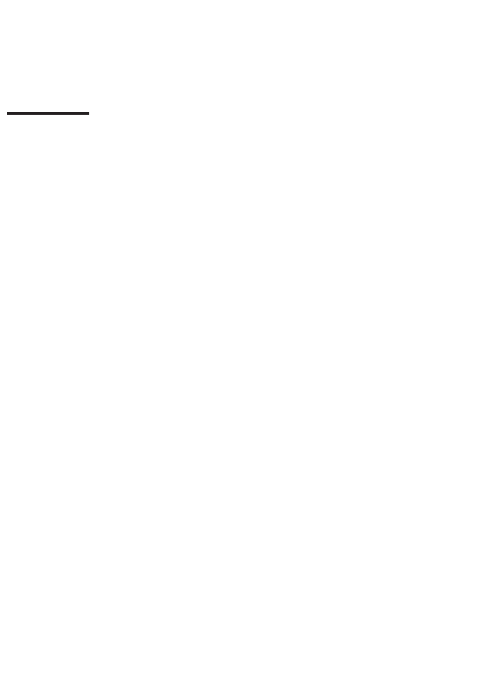Transfus Med Hemother 2010;37:57–64 DOI: [10.1159/000284401](http://dx.doi.org/10.1159%2F000284401)

Received: July 27, 2009 Accepted: September 28, 2009 Published online: March 8, 2010

# Quality of Cell Products: Authenticity, Identity, Genomic Stability and Status of Differentiation

Kurt E.J. Dittmar<sup>a</sup> Meike Simann<sup>a</sup> Nadia Zghoul<sup>a</sup> Oliver Schön<sup>a</sup> Wilhelm Meyring<sup>b</sup> Horst Hannig<sup>b</sup> Lars Macke<sup>a</sup> Wilhelm G. Dirks<sup>c</sup> Konstantin Miller<sup>d</sup> Henk S.P. Garritsen<sup>b</sup> Werner Lindenmaier<sup>a</sup>

a Department of Molecular Biotechnology, Helmholtz Centre for Infection Research (HZI) Braunschweig, <sup>b</sup>Institute for Clinical Transfusion Medicine, Städtisches Klinikum Braunschweig gGmbH, c DSMZ, German Collection of Microorganisms and Cell Cultures, Braunschweig, d Hannover Medical School, Hannover, Germany

#### Key Words

Primary human cells · Cross-contamination · Cell identity · DNA typing · Karyotype

#### Summary

Cellular therapies that either use modifications of a patient's own cells or allogeneic cell lines are becoming in vogue. Besides the technical issues of optimal isolation, cultivation and modification, quality control of the generated cellular products are increasingly being considered to be more important. This is not only relevant for the cell's therapeutic application but also for cell science in general. Recent changes in editorial policies of respected journals, which now require proof of authenticity when cell lines are used, demonstrate that the subject of the present paper is not a virtual problem at all. In this article we provide 2 examples of contaminated cell lines followed by a review of the recent developments used to verify cell lines, stem cells and modifications of autologous cells. With relative simple techniques one can now prove the authenticity and the quality of the cellular material of interest and therefore improve the scientific basis for the development of cells for therapeutic applications. The future of advanced cellular therapies will require production and characterization of cells under GMP and GLP conditions, which include proof of identity, safety and functionality and absence of contamination.

## Schlüsselwörter

Primäre humane Zellen · Kreuzkontamination · Zellidentität · DNA-Typisierung · Karyotyp

## Zusammenfassung

Zelltherapien, die auf patienteneigenen Zellen oder allogenen Zellen basieren, werden zunehmend attraktiv und realisierbar. Neben technischen Fragen nach der optimalen Isolation und geeigneten Kultivierungs- und Modifikationsverfahren tritt dabei auch die Bedeutung der Qualitätskontrolle für das Zellprodukt zunehmend ins Bewusstsein. Diese Entwicklung ist nicht nur bei Zellen für die therapeutische Anwendung wichtig, sondern auch für die Zellbiologie als Wissenschaft im Allgemeinen. Dass dies nicht nur ein virtuelles Problem ist, wird schon dadurch deutlich, dass angesehene Zeitschriften ihre Veröffentlichungspolitik geändert haben und nun einen Nachweis der Authentizität der verwendeten Zellen als Voraussetzung für die Veröffentlichung fordern. In diesem Beitrag stellen wir zwei Beispiele für die Kontamination von Zelllinien vor, gefolgt von einem Überblick über neuere Entwicklungen für die Verifikation von Zelllinien, Stammzellen und Zellmodifikationen. Mit relativ einfachen Techniken ist es heute möglich, die Authentizität der Zellen nachzuweisen, die Qualität des Zellmaterials zu beschreiben und damit die wissenschaftliche Basis für die Entwicklung von Zellen für die Therapie zu verbessern. Die Zukunft der sogenannten «Advanced Cellular Therapies» wird die Einhaltung von GMP- und GLP-Bedingungen erfordern. Dies schließt den Nachweis der Identität, Sicherheit und Funktionalität und der Freiheit von Kontamination für das Zellprodukt ein.

# **KARGER**

Fax +49 761 4 52 07 14 Information@Karger.de www.karger.com

© 2010 S. Karger GmbH, Freiburg

Accessible online at: www.karger.com/tmh Dr. Werner Lindenmaier Department of Molecular Biotechnology Helmholtz Centre for Infection Research (HZI) Braunschweig Inhoffenstraße 7, 38124 Braunschweig, Germany Tel. +49 531 618150-10, Fax -12 werner.lindenmaier@helmholtz-hzi.de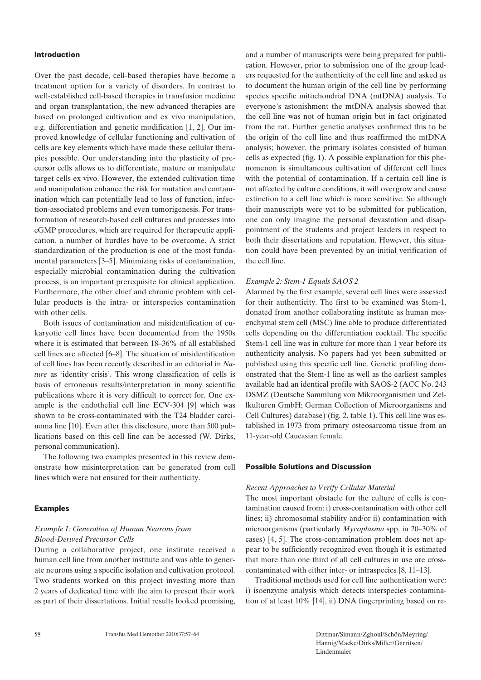## Introduction

Over the past decade, cell-based therapies have become a treatment option for a variety of disorders. In contrast to well-established cell-based therapies in transfusion medicine and organ transplantation, the new advanced therapies are based on prolonged cultivation and ex vivo manipulation, e.g. differentiation and genetic modification [1, 2]. Our improved knowledge of cellular functioning and cultivation of cells are key elements which have made these cellular therapies possible. Our understanding into the plasticity of precursor cells allows us to differentiate, mature or manipulate target cells ex vivo. However, the extended cultivation time and manipulation enhance the risk for mutation and contamination which can potentially lead to loss of function, infection-associated problems and even tumorigenesis. For transformation of research-based cell cultures and processes into cGMP procedures, which are required for therapeutic application, a number of hurdles have to be overcome. A strict standardization of the production is one of the most fundamental parameters [3–5]. Minimizing risks of contamination, especially microbial contamination during the cultivation process, is an important prerequisite for clinical application. Furthermore, the other chief and chronic problem with cellular products is the intra- or interspecies contamination with other cells.

Both issues of contamination and misidentification of eukaryotic cell lines have been documented from the 1950s where it is estimated that between 18–36% of all established cell lines are affected [6–8]. The situation of misidentification of cell lines has been recently described in an editorial in *Nature* as 'identity crisis'. This wrong classification of cells is basis of erroneous results/interpretation in many scientific publications where it is very difficult to correct for. One example is the endothelial cell line ECV-304 [9] which was shown to be cross-contaminated with the T24 bladder carcinoma line [10]. Even after this disclosure, more than 500 publications based on this cell line can be accessed (W. Dirks, personal communication).

The following two examples presented in this review demonstrate how misinterpretation can be generated from cell lines which were not ensured for their authenticity.

## Examples

# *Example 1: Generation of Human Neurons from Blood-Derived Precursor Cells*

During a collaborative project, one institute received a human cell line from another institute and was able to generate neurons using a specific isolation and cultivation protocol. Two students worked on this project investing more than 2 years of dedicated time with the aim to present their work as part of their dissertations. Initial results looked promising,

and a number of manuscripts were being prepared for publication. However, prior to submission one of the group leaders requested for the authenticity of the cell line and asked us to document the human origin of the cell line by performing species specific mitochondrial DNA (mtDNA) analysis. To everyone's astonishment the mtDNA analysis showed that the cell line was not of human origin but in fact originated from the rat. Further genetic analyses confirmed this to be the origin of the cell line and thus reaffirmed the mtDNA analysis; however, the primary isolates consisted of human cells as expected (fig. 1). A possible explanation for this phenomenon is simultaneous cultivation of different cell lines with the potential of contamination. If a certain cell line is not affected by culture conditions, it will overgrow and cause extinction to a cell line which is more sensitive. So although their manuscripts were yet to be submitted for publication, one can only imagine the personal devastation and disappointment of the students and project leaders in respect to both their dissertations and reputation. However, this situation could have been prevented by an initial verification of the cell line.

## *Example 2: Stem-1 Equals SAOS 2*

Alarmed by the first example, several cell lines were assessed for their authenticity. The first to be examined was Stem-1, donated from another collaborating institute as human mesenchymal stem cell (MSC) line able to produce differentiated cells depending on the differentiation cocktail. The specific Stem-1 cell line was in culture for more than 1 year before its authenticity analysis. No papers had yet been submitted or published using this specific cell line. Genetic profiling demonstrated that the Stem-1 line as well as the earliest samples available had an identical profile with SAOS-2 (ACC No. 243 DSMZ (Deutsche Sammlung von Mikroorganismen und Zellkulturen GmbH; German Collection of Microorganisms and Cell Cultures) database) (fig. 2, table 1). This cell line was established in 1973 from primary osteosarcoma tissue from an 11-year-old Caucasian female.

## Possible Solutions and Discussion

#### *Recent Approaches to Verify Cellular Material*

The most important obstacle for the culture of cells is contamination caused from: i) cross-contamination with other cell lines; ii) chromosomal stability and/or ii) contamination with microorganisms (particularly *Mycoplasma* spp. in 20–30% of cases) [4, 5]. The cross-contamination problem does not appear to be sufficiently recognized even though it is estimated that more than one third of all cell cultures in use are crosscontaminated with either inter- or intraspecies [8, 11–13].

Traditional methods used for cell line authentication were: i) isoenzyme analysis which detects interspecies contamination of at least 10% [14], ii) DNA fingerprinting based on re-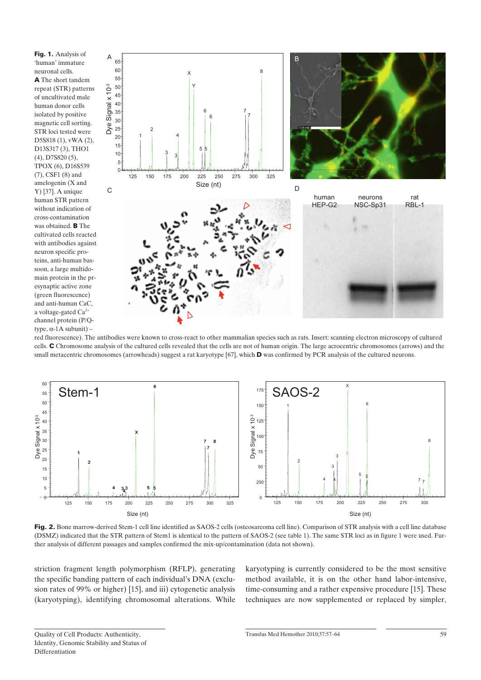Fig. 1. Analysis of 'human' immature neuronal cells. **A** The short tandem repeat (STR) patterns of uncultivated male human donor cells isolated by positive magnetic cell sorting. STR loci tested were D5S818 (1), vWA (2), D13S317 (3), THO1 (4), D7S820 (5), TPOX (6), D16S539 (7), CSF1 (8) and amelogenin (X and Y) [37]. A unique human STR pattern without indication of cross-contamination was obtained. B The cultivated cells reacted with antibodies against neuron specific proteins, anti-human bassoon, a large multidomain protein in the presynaptic active zone (green fluorescence) and anti-human CaC, a voltage-gated  $Ca^{2+}$ channel protein (P/Qtype,  $\alpha$ -1A subunit) –



red fluorescence). The antibodies were known to cross-react to other mammalian species such as rats. Insert: scanning electron microscopy of cultured cells. C Chromosome analysis of the cultured cells revealed that the cells are not of human origin. The large acrocentric chromosomes (arrows) and the small metacentric chromosomes (arrowheads) suggest a rat karyotype [67], which D was confirmed by PCR analysis of the cultured neurons.



ther analysis of different passages and samples confirmed the mix-up/contamination (data not shown). Fig. 2. Bone marrow-derived Stem-1 cell line identified as SAOS-2 cells (osteosarcoma cell line). Comparison of STR analysis with a cell line database (DSMZ) indicated that the STR pattern of Stem1 is identical to the pattern of SAOS-2 (see table 1). The same STR loci as in figure 1 were used. Fur-

striction fragment length polymorphism (RFLP), generating the specific banding pattern of each individual's DNA (exclusion rates of 99% or higher) [15], and iii) cytogenetic analysis (karyotyping), identifying chromosomal alterations. While

karyotyping is currently considered to be the most sensitive method available, it is on the other hand labor-intensive, time-consuming and a rather expensive procedure [15]. These techniques are now supplemented or replaced by simpler,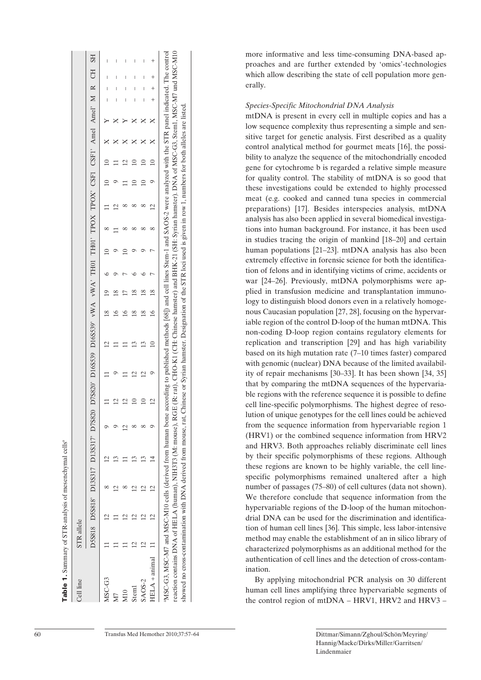| Cell line                                                                                                                                                                                                                                                                                                                                                                                                                              | <b>STR</b> allele |                                                                                                                   |  |  |                                                                                                                     |            |  |  |  |  |   |  |  |
|----------------------------------------------------------------------------------------------------------------------------------------------------------------------------------------------------------------------------------------------------------------------------------------------------------------------------------------------------------------------------------------------------------------------------------------|-------------------|-------------------------------------------------------------------------------------------------------------------|--|--|---------------------------------------------------------------------------------------------------------------------|------------|--|--|--|--|---|--|--|
|                                                                                                                                                                                                                                                                                                                                                                                                                                        |                   | D5S818 D5S817 D13S317 D73S20 D7S820 D7S820 D16S539 vWA vWA TH01 TH01 TH02 TPOX TPOX CSF1 CSF1 Amel Amel M R CH SH |  |  |                                                                                                                     |            |  |  |  |  |   |  |  |
| $4SC-G3$                                                                                                                                                                                                                                                                                                                                                                                                                               |                   |                                                                                                                   |  |  |                                                                                                                     |            |  |  |  |  |   |  |  |
|                                                                                                                                                                                                                                                                                                                                                                                                                                        |                   |                                                                                                                   |  |  |                                                                                                                     |            |  |  |  |  |   |  |  |
|                                                                                                                                                                                                                                                                                                                                                                                                                                        |                   |                                                                                                                   |  |  |                                                                                                                     |            |  |  |  |  |   |  |  |
| stem1                                                                                                                                                                                                                                                                                                                                                                                                                                  |                   |                                                                                                                   |  |  |                                                                                                                     |            |  |  |  |  |   |  |  |
| SAOS-2                                                                                                                                                                                                                                                                                                                                                                                                                                 |                   |                                                                                                                   |  |  |                                                                                                                     |            |  |  |  |  | I |  |  |
| $HELA + animal$ 11                                                                                                                                                                                                                                                                                                                                                                                                                     |                   | 12                                                                                                                |  |  |                                                                                                                     | $\epsilon$ |  |  |  |  |   |  |  |
| ceaction contains DNA of HELA (human), NIH3T3 (M: mouse), RGE (R: rat), CHO-K1 (CH: Chinese hamster) and BHK-21 (SH: Syrian hamster). DNA of MSC-G3, Stem1, MSC-M7 und MSC-M10<br>MSC-M7 and MSC-M10 cells (derived from human bone according to published methods [68]) and cell lines Stem-1 and SAOS-2 were analyzed with the STR panel indicated. The control<br>showed no cross-contamination with DNA derived from mouse, rat, ( |                   |                                                                                                                   |  |  | Chinese or Syrian hamster. Designation of the STR loci used is given in row 1, numbers for both alleles are listed. |            |  |  |  |  |   |  |  |

more informative and less time-consuming DNA-based approaches and are further extended by 'omics'-technologies which allow describing the state of cell population more generally.

## *Species-Specific Mitochondrial DNA Analysis*

mtDNA is present in every cell in multiple copies and has a low sequence complexity thus representing a simple and sensitive target for genetic analysis. First described as a quality control analytical method for gourmet meats [16], the possi bility to analyze the sequence of the mitochondrially encoded gene for cytochrome b is regarded a relative simple measure for quality control. The stability of mtDNA is so good that these investigations could be extended to highly processed meat (e.g. cooked and canned tuna species in commercial preparations) [17]. Besides interspecies analysis, mtDNA analysis has also been applied in several biomedical investiga tions into human background. For instance, it has been used in studies tracing the origin of mankind [18–20] and certain human populations [21–23]. mtDNA analysis has also been extremely effective in forensic science for both the identifica tion of felons and in identifying victims of crime, accidents or war [24–26]. Previously, mtDNA polymorphisms were ap plied in transfusion medicine and transplantation immuno logy to distinguish blood donors even in a relatively homogenous Caucasian population [27, 28], focusing on the hypervar iable region of the control D-loop of the human mtDNA. This non-coding D-loop region contains regulatory elements for replication and transcription [29] and has high variability based on its high mutation rate (7–10 times faster) compared with genomic (nuclear) DNA because of the limited availability of repair mechanisms [30–33]. It has been shown [34, 35] that by comparing the mtDNA sequences of the hypervaria ble regions with the reference sequence it is possible to define cell line-specific polymorphisms. The highest degree of reso lution of unique genotypes for the cell lines could be achieved from the sequence information from hypervariable region 1 (HRV1) or the combined sequence information from HRV2 and HRV3. Both approaches reliably discriminate cell lines by their specific polymorphisms of these regions. Although these regions are known to be highly variable, the cell linespecific polymorphisms remained unaltered after a high number of passages (75–80) of cell cultures (data not shown). We therefore conclude that sequence information from the hypervariable regions of the D-loop of the human mitochon drial DNA can be used for the discrimination and identifica tion of human cell lines [36]. This simple, less labor-intensive method may enable the establishment of an in silico library of characterized polymorphisms as an additional method for the authentication of cell lines and the detection of cross-contam ination.

By applying mitochondrial PCR analysis on 30 different human cell lines amplifying three hypervariable segments of the control region of mtDNA – HRV1, HRV2 and HRV3 –

Table 1.

Summary of STR-analysis of mesenchymal cells<sup>a</sup>

Table 1. Summary of STR-analysis of mesenchymal cells<sup>a</sup>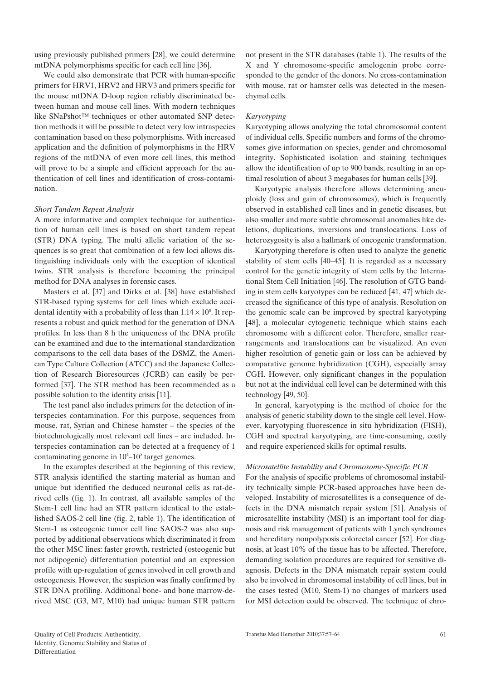using previously published primers [28], we could determine mtDNA polymorphisms specific for each cell line [36].

We could also demonstrate that PCR with human-specific primers for HRV1, HRV2 and HRV3 and primers specific for the mouse mtDNA D-loop region reliably discriminated between human and mouse cell lines. With modern techniques like SNaPshot™ techniques or other automated SNP detection methods it will be possible to detect very low intraspecies contamination based on these polymorphisms. With increased application and the definition of polymorphisms in the HRV regions of the mtDNA of even more cell lines, this method will prove to be a simple and efficient approach for the authentication of cell lines and identification of cross-contamination.

## *Short Tandem Repeat Analysis*

A more informative and complex technique for authentication of human cell lines is based on short tandem repeat (STR) DNA typing. The multi allelic variation of the sequences is so great that combination of a few loci allows distinguishing individuals only with the exception of identical twins. STR analysis is therefore becoming the principal method for DNA analyses in forensic cases.

Masters et al. [37] and Dirks et al. [38] have established STR-based typing systems for cell lines which exclude accidental identity with a probability of less than  $1.14 \times 10^8$ . It represents a robust and quick method for the generation of DNA profiles. In less than 8 h the uniqueness of the DNA profile can be examined and due to the international standardization comparisons to the cell data bases of the DSMZ, the American Type Culture Collection (ATCC) and the Japanese Collection of Research Bioresources (JCRB) can easily be performed [37]. The STR method has been recommended as a possible solution to the identity crisis [11].

The test panel also includes primers for the detection of interspecies contamination. For this purpose, sequences from mouse, rat, Syrian and Chinese hamster – the species of the biotechnologically most relevant cell lines – are included. Interspecies contamination can be detected at a frequency of 1 contaminating genome in  $10^4$ – $10^5$  target genomes.

In the examples described at the beginning of this review, STR analysis identified the starting material as human and unique but identified the deduced neuronal cells as rat-derived cells (fig. 1). In contrast, all available samples of the Stem-1 cell line had an STR pattern identical to the established SAOS-2 cell line (fig. 2, table 1). The identification of Stem-1 as osteogenic tumor cell line SAOS-2 was also supported by additional observations which discriminated it from the other MSC lines: faster growth, restricted (osteogenic but not adipogenic) differentiation potential and an expression profile with up-regulation of genes involved in cell growth and osteogenesis. However, the suspicion was finally confirmed by STR DNA profiling. Additional bone- and bone marrow-derived MSC (G3, M7, M10) had unique human STR pattern not present in the STR databases (table 1). The results of the X and Y chromosome-specific amelogenin probe corresponded to the gender of the donors. No cross-contamination with mouse, rat or hamster cells was detected in the mesenchymal cells.

# *Karyotyping*

Karyotyping allows analyzing the total chromosomal content of individual cells. Specific numbers and forms of the chromosomes give information on species, gender and chromosomal integrity. Sophisticated isolation and staining techniques allow the identification of up to 900 bands, resulting in an optimal resolution of about 3 megabases for human cells [39].

Karyotypic analysis therefore allows determining aneuploidy (loss and gain of chromosomes), which is frequently observed in established cell lines and in genetic diseases, but also smaller and more subtle chromosomal anomalies like deletions, duplications, inversions and translocations. Loss of heterozygosity is also a hallmark of oncogenic transformation.

Karyotyping therefore is often used to analyze the genetic stability of stem cells [40–45]. It is regarded as a necessary control for the genetic integrity of stem cells by the International Stem Cell Initiation [46]. The resolution of GTG banding in stem cells karyotypes can be reduced [41, 47] which decreased the significance of this type of analysis. Resolution on the genomic scale can be improved by spectral karyotyping [48], a molecular cytogenetic technique which stains each chromosome with a different color. Therefore, smaller rearrangements and translocations can be visualized. An even higher resolution of genetic gain or loss can be achieved by comparative genome hybridization (CGH), especially array CGH. However, only significant changes in the population but not at the individual cell level can be determined with this technology [49, 50].

In general, karyotyping is the method of choice for the analysis of genetic stability down to the single cell level. However, karyotyping fluorescence in situ hybridization (FISH), CGH and spectral karyotyping, are time-consuming, costly and require experienced skills for optimal results.

# *Microsatellite Instability and Chromosome-Specific PCR*

For the analysis of specific problems of chromosomal instability technically simple PCR-based approaches have been developed. Instability of microsatellites is a consequence of defects in the DNA mismatch repair system [51]. Analysis of microsatellite instability (MSI) is an important tool for diagnosis and risk management of patients with Lynch syndromes and hereditary nonpolyposis colorectal cancer [52]. For diagnosis, at least 10% of the tissue has to be affected. Therefore, demanding isolation procedures are required for sensitive diagnosis. Defects in the DNA mismatch repair system could also be involved in chromosomal instability of cell lines, but in the cases tested (M10, Stem-1) no changes of markers used for MSI detection could be observed. The technique of chro-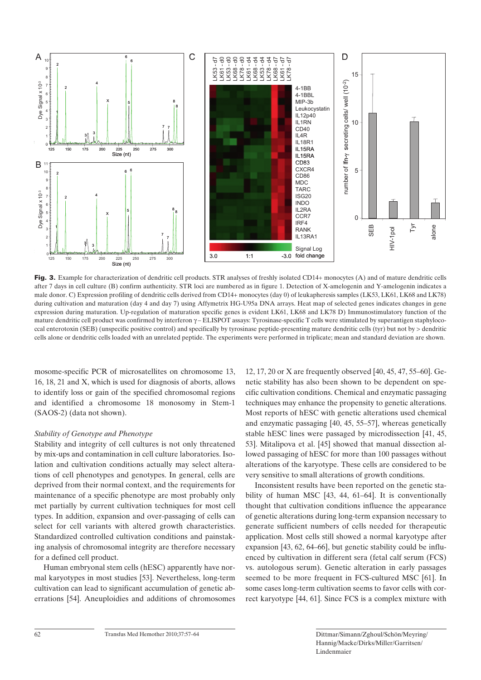

Fig. 3. Example for characterization of dendritic cell products. STR analyses of freshly isolated CD14+ monocytes (A) and of mature dendritic cells after 7 days in cell culture (B) confirm authenticity. STR loci are numbered as in figure 1. Detection of X-amelogenin and Y-amelogenin indicates a male donor. C) Expression profiling of dendritic cells derived from CD14+ monocytes (day 0) of leukapheresis samples (LK53, LK61, LK68 and LK78) during cultivation and maturation (day 4 and day 7) using Affymetrix HG-U95a DNA arrays. Heat map of selected genes indicates changes in gene expression during maturation. Up-regulation of maturation specific genes is evident LK61, LK68 and LK78 D) Immunostimulatory function of the mature dendritic cell product was confirmed by interferon  $\gamma$  – ELISPOT assays: Tyrosinase-specific T cells were stimulated by superantigen staphylococcal enterotoxin (SEB) (unspecific positive control) and specifically by tyrosinase peptide-presenting mature dendritic cells (tyr) but not by > dendritic cells alone or dendritic cells loaded with an unrelated peptide. The experiments were performed in triplicate; mean and standard deviation are shown.

mosome-specific PCR of microsatellites on chromosome 13, 16, 18, 21 and X, which is used for diagnosis of aborts, allows to identify loss or gain of the specified chromosomal regions and identified a chromosome 18 monosomy in Stem-1 (SAOS-2) (data not shown).

#### *Stability of Genotype and Phenotype*

Stability and integrity of cell cultures is not only threatened by mix-ups and contamination in cell culture laboratories. Isolation and cultivation conditions actually may select alterations of cell phenotypes and genotypes. In general, cells are deprived from their normal context, and the requirements for maintenance of a specific phenotype are most probably only met partially by current cultivation techniques for most cell types. In addition, expansion and over-passaging of cells can select for cell variants with altered growth characteristics. Standardized controlled cultivation conditions and painstaking analysis of chromosomal integrity are therefore necessary for a defined cell product.

Human embryonal stem cells (hESC) apparently have normal karyotypes in most studies [53]. Nevertheless, long-term cultivation can lead to significant accumulation of genetic aberrations [54]. Aneuploidies and additions of chromosomes 12, 17, 20 or X are frequently observed [40, 45, 47, 55–60]. Genetic stability has also been shown to be dependent on specific cultivation conditions. Chemical and enzymatic passaging techniques may enhance the propensity to genetic alterations. Most reports of hESC with genetic alterations used chemical and enzymatic passaging [40, 45, 55–57], whereas genetically stable hESC lines were passaged by microdissection [41, 45, 53]. Mitalipova et al. [45] showed that manual dissection allowed passaging of hESC for more than 100 passages without alterations of the karyotype. These cells are considered to be very sensitive to small alterations of growth conditions.

Inconsistent results have been reported on the genetic stability of human MSC [43, 44, 61–64]. It is conventionally thought that cultivation conditions influence the appearance of genetic alterations during long-term expansion necessary to generate sufficient numbers of cells needed for therapeutic application. Most cells still showed a normal karyotype after expansion [43, 62, 64–66], but genetic stability could be influenced by cultivation in different sera (fetal calf serum (FCS) an embryonal stem cells (hESC) apparently have nor- vs. autologous serum). Genetic alteration in early passages seemed to be more frequent in FCS-cultured MSC [61]. In some cases long-term cultivation seems to favor cells with correct karyotype [44, 61]. Since FCS is a complex mixture with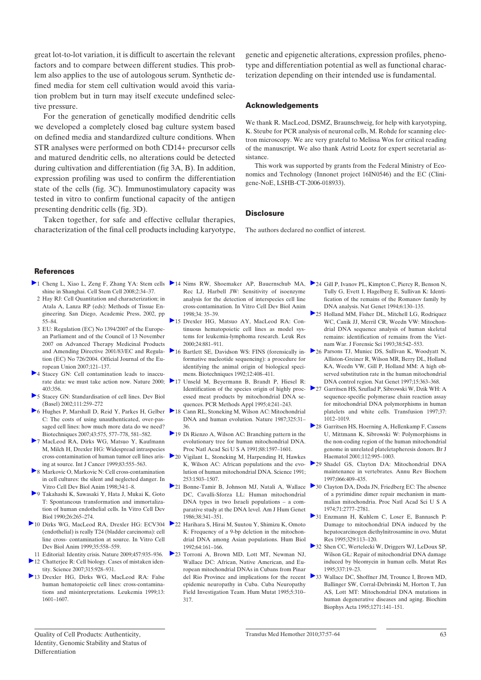great lot-to-lot variation, it is difficult to ascertain the relevant factors and to compare between different studies. This problem also applies to the use of autologous serum. Synthetic defined media for stem cell cultivation would avoid this variation problem but in turn may itself execute undefined selective pressure.

For the generation of genetically modified dendritic cells we developed a completely closed bag culture system based on defined media and standardized culture conditions. When STR analyses were performed on both CD14+ precursor cells and matured dendritic cells, no alterations could be detected during cultivation and differentiation (fig 3A, B). In addition, expression profiling was used to confirm the differentiation state of the cells (fig. 3C). Immunostimulatory capacity was tested in vitro to confirm functional capacity of the antigen presenting dendritic cells (fig. 3D).

Taken together, for safe and effective cellular therapies, characterization of the final cell products including karyotype, genetic and epigenetic alterations, expression profiles, phenotype and differentiation potential as well as functional characterization depending on their intended use is fundamental.

#### Acknowledgements

We thank R. MacLeod, DSMZ, Braunschweig, for help with karyotyping, K. Steube for PCR analysis of neuronal cells, M. Rohde for scanning electron microscopy. We are very grateful to Melissa Wos for critical reading of the manuscript. We also thank Astrid Lootz for expert secretarial assistance.

This work was supported by grants from the Federal Ministry of Economics and Technology (Innonet project 16IN0546) and the EC (Clinigene-NoE, LSHB-CT-2006-018933).

#### **Disclosure**

The authors declared no conflict of interest.

#### **References**

- shine in Shanghai. Cell Stem Cell 2008;2:34–37.
- 2 Hay RJ: Cell Quantitation and characterization; in Atala A, Lanza RP (eds): Methods of Tissue Engineering. San Diego, Academic Press, 2002, pp 55–84.
- 3 EU: Regulation (EC) No 1394/2007 of the European Parliament and of the Council of 13 November 2007 on Advanced Therapy Medicinal Products and Amending Directive 2001/83/EC and Regulation (EC) No 726/2004. Official Journal of the European Union 2007;121–137.
- 4 Stacey GN: Cell contamination leads to inaccurate data: we must take action now. Nature 2000; 403:356.
- 5 Stacey GN: Standardisation of cell lines. Dev Biol (Basel) 2002;111:259–272
- 6 Hughes P, Marshall D, Reid Y, Parkes H, Gelber C: The costs of using unauthenticated, over-passaged cell lines: how much more data do we need? Biotechniques 2007;43:575, 577–778, 581–582.
- 7 MacLeod RA, Dirks WG, Matsuo Y, Kaufmann M, Milch H, Drexler HG: Widespread intraspecies cross-contamination of human tumor cell lines arising at source. Int J Cancer 1999;83:555–563.
- 8 Markovic O, Markovic N: Cell cross-contamination in cell cultures: the silent and neglected danger. In Vitro Cell Dev Biol Anim 1998;34:1–8.
- 9 Takahashi K, Sawasaki Y, Hata J, Mukai K, Goto T: Spontaneous transformation and immortalization of human endothelial cells. In Vitro Cell Dev Biol 1990;26:265–274.
- 10 Dirks WG, MacLeod RA, Drexler HG: ECV304 (endothelial) is really T24 (bladder carcinoma): cell line cross- contamination at source. In Vitro Cell Dev Biol Anim 1999:35:558-559.
- 11 Editorial: Identity crisis. Nature 2009;457:935–936. 12 Chatterjee R: Cell biology. Cases of mistaken identity. Science 2007;315:928–931.
- 13 Drexler HG, Dirks WG, MacLeod RA: False human hematopoietic cell lines: cross-contaminations and misinterpretations. Leukemia 1999;13: 1601–1607.
- 1 Cheng L, Xiao L, Zeng F, Zhang YA: Stem cells 14 Nims RW, Shoemaker AP, Bauernschub MA, Rec LJ, Harbell JW: Sensitivity of isoenzyme analysis for the detection of interspecies cell line cross-contamination. In Vitro Cell Dev Biol Anim 1998;34: 35–39.
	- 15 Drexler HG, Matsuo AY, MacLeod RA: Continuous hematopoietic cell lines as model systems for leukemia-lymphoma research. Leuk Res 2000;24:881–911.
	- 16 Bartlett SE, Davidson WS: FINS (forensically informative nucleotide sequencing): a procedure for identifying the animal origin of biological specimens. Biotechniques 1992;12:408–411.
	- 17 Unseld M, Beyermann B, Brandt P, Hiesel R: Identification of the species origin of highly processed meat products by mitochondrial DNA sequences. PCR Methods Appl 1995;4:241–243.
	- 18 Cann RL, Stoneking M, Wilson AC: Mitochondrial DNA and human evolution. Nature 1987;325:31– 36.
	- 19 Di Rienzo A, Wilson AC: Branching pattern in the evolutionary tree for human mitochondrial DNA. Proc Natl Acad Sci U S A 1991;88:1597–1601.
	- 20 Vigilant L, Stoneking M, Harpending H, Hawkes K, Wilson AC: African populations and the evolution of human mitochondrial DNA. Science 1991; 253:1503–1507.
	- 21 Bonne-Tamir B, Johnson MJ, Natali A, Wallace DC, Cavalli-Sforza LL: Human mitochondrial DNA types in two Israeli populations – a comparative study at the DNA level. Am J Hum Genet 1986;38:341–351.
	- 22 Harihara S, Hirai M, Suutou Y, Shimizu K, Omoto K: Frequency of a 9-bp deletion in the mitochondrial DNA among Asian populations. Hum Biol 1992;64:161–166.
	- 23 Torroni A, Brown MD, Lott MT, Newman NJ, Wallace DC: African, Native American, and European mitochondrial DNAs in Cubans from Pinar del Rio Province and implications for the recent epidemic neuropathy in Cuba. Cuba Neuropathy Field Investigation Team. Hum Mutat 1995;5:310– 317.
- 24 Gill P, Ivanov PL, Kimpton C, Piercy R, Benson N, Tully G, Evett I, Hagelberg E, Sullivan K: Identification of the remains of the Romanov family by DNA analysis. Nat Genet 1994;6:130–135.
- 25 Holland MM, Fisher DL, Mitchell LG, Rodriquez WC, Canik JJ, Merril CR, Weedn VW: Mitochondrial DNA sequence analysis of human skeletal remains: identification of remains from the Vietnam War. J Forensic Sci 1993;38:542–553.
- 26 Parsons TJ, Muniec DS, Sullivan K, Woodyatt N, Alliston-Greiner R, Wilson MR, Berry DL, Holland KA, Weedn VW, Gill P, Holland MM: A high observed substitution rate in the human mitochondrial DNA control region. Nat Genet 1997;15:363–368.
- 27 Garritsen HS, Szuflad P, Sibrowski W, Dzik WH: A sequence-specific polymerase chain reaction assay for mitochondrial DNA polymorphisms in human platelets and white cells. Transfusion 1997;37: 1012–1019.
- 28 Garritsen HS, Hoerning A, Hellenkamp F, Cassens U, Mittmann K, Sibrowski W: Polymorphisms in the non-coding region of the human mitochondrial genome in unrelated plateletapheresis donors. Br J Haematol 2001;112:995–1003.
- 29 Shadel GS, Clayton DA: Mitochondrial DNA maintenance in vertebrates. Annu Rev Biochem 1997;066:409–435.
- 30 Clayton DA, Doda JN, Friedberg EC: The absence of a pyrimidine dimer repair mechanism in mammalian mitochondria. Proc Natl Acad Sci U S A 1974;71:2777–2781.
- 31 Enzmann H, Kuhlem C, Loser E, Bannasch P: Damage to mitochondrial DNA induced by the hepatocarcinogen diethylnitrosamine in ovo. Mutat Res 1995;329:113–120.
- 32 Shen CC, Wertelecki W, Driggers WJ, LeDoux SP, Wilson GL: Repair of mitochondrial DNA damage induced by bleomycin in human cells. Mutat Res 1995;337:19–23.
- 33 Wallace DC, Shoffner JM, Trounce I, Brown MD, Ballinger SW, Corral-Debrinski M, Horton T, Jun AS, Lott MT: Mitochondrial DNA mutations in human degenerative diseases and aging. Biochim Biophys Acta 1995;1271:141–151.